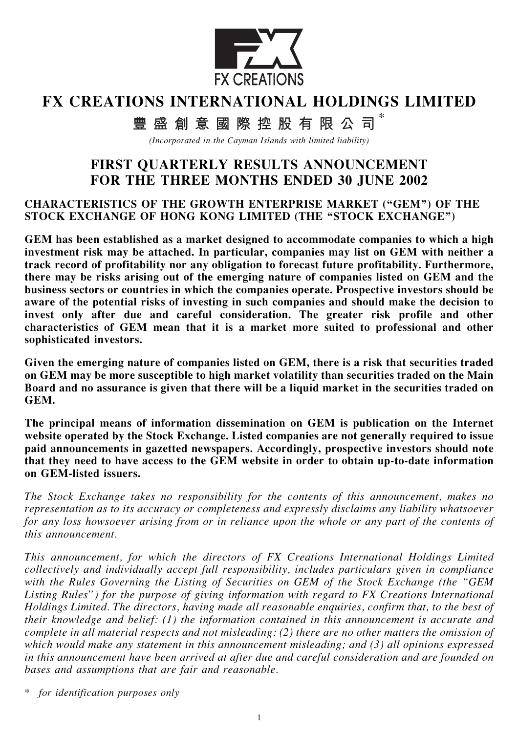

# FX CREATIONS INTERNATIONAL HOLDINGS LIMITED

豐盛創意國際控股有限公司 $^*$ 

(Incorporated in the Cayman Islands with limited liability)

# FIRST QUARTERLY RESULTS ANNOUNCEMENT FOR THE THREE MONTHS ENDED 30 JUNE 2002

#### CHARACTERISTICS OF THE GROWTH ENTERPRISE MARKET (''GEM'') OF THE STOCK EXCHANGE OF HONG KONG LIMITED (THE "STOCK EXCHANGE")

GEM has been established as a market designed to accommodate companies to which a high investment risk may be attached. In particular, companies may list on GEM with neither a track record of profitability nor any obligation to forecast future profitability. Furthermore, there may be risks arising out of the emerging nature of companies listed on GEM and the business sectors or countries in which the companies operate. Prospective investors should be aware of the potential risks of investing in such companies and should make the decision to invest only after due and careful consideration. The greater risk profile and other characteristics of GEM mean that it is a market more suited to professional and other sophisticated investors.

Given the emerging nature of companies listed on GEM, there is a risk that securities traded on GEM may be more susceptible to high market volatility than securities traded on the Main Board and no assurance is given that there will be a liquid market in the securities traded on GEM.

The principal means of information dissemination on GEM is publication on the Internet website operated by the Stock Exchange. Listed companies are not generally required to issue paid announcements in gazetted newspapers. Accordingly, prospective investors should note that they need to have access to the GEM website in order to obtain up-to-date information on GEM-listed issuers.

The Stock Exchange takes no responsibility for the contents of this announcement, makes no representation as to its accuracy or completeness and expressly disclaims any liability whatsoever for any loss howsoever arising from or in reliance upon the whole or any part of the contents of this announcement.

This announcement, for which the directors of FX Creations International Holdings Limited collectively and individually accept full responsibility, includes particulars given in compliance with the Rules Governing the Listing of Securities on GEM of the Stock Exchange (the "GEM Listing Rules'') for the purpose of giving information with regard to FX Creations International Holdings Limited. The directors, having made all reasonable enquiries, confirm that, to the best of their knowledge and belief: (1) the information contained in this announcement is accurate and complete in all material respects and not misleading; (2) there are no other matters the omission of which would make any statement in this announcement misleading; and (3) all opinions expressed in this announcement have been arrived at after due and careful consideration and are founded on bases and assumptions that are fair and reasonable.

\* for identification purposes only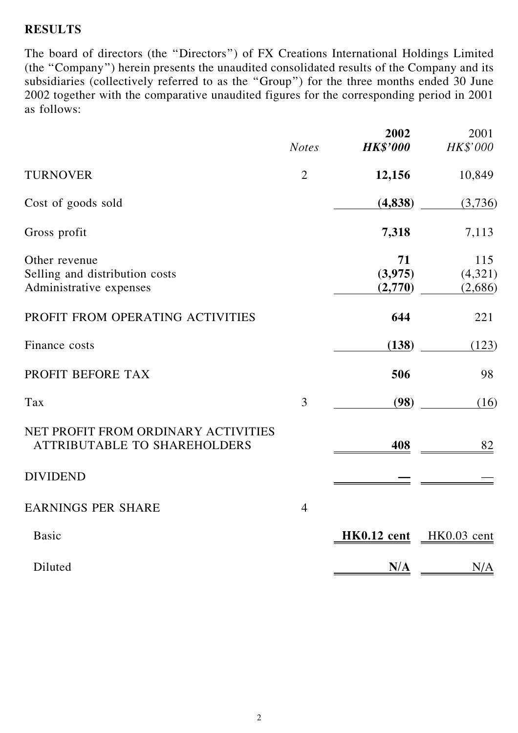### RESULTS

The board of directors (the ''Directors'') of FX Creations International Holdings Limited (the ''Company'') herein presents the unaudited consolidated results of the Company and its subsidiaries (collectively referred to as the ''Group'') for the three months ended 30 June 2002 together with the comparative unaudited figures for the corresponding period in 2001 as follows:

|                                                                            | <b>Notes</b>   | 2002<br><b>HK\$'000</b> | 2001<br><b>HK\$'000</b> |
|----------------------------------------------------------------------------|----------------|-------------------------|-------------------------|
|                                                                            |                |                         |                         |
| <b>TURNOVER</b>                                                            | $\overline{2}$ | 12,156                  | 10,849                  |
| Cost of goods sold                                                         |                | (4,838)                 | (3,736)                 |
| Gross profit                                                               |                | 7,318                   | 7,113                   |
| Other revenue                                                              |                | 71                      | 115                     |
| Selling and distribution costs<br>Administrative expenses                  |                | (3,975)<br>(2,770)      | (4,321)<br>(2,686)      |
|                                                                            |                |                         |                         |
| PROFIT FROM OPERATING ACTIVITIES                                           |                | 644                     | 221                     |
| Finance costs                                                              |                | (138)                   | (123)                   |
| PROFIT BEFORE TAX                                                          |                | 506                     | 98                      |
| Tax                                                                        | 3              | (98)                    | (16)                    |
| NET PROFIT FROM ORDINARY ACTIVITIES<br><b>ATTRIBUTABLE TO SHAREHOLDERS</b> |                | 408                     | <u>82</u>               |
| <b>DIVIDEND</b>                                                            |                |                         |                         |
| <b>EARNINGS PER SHARE</b>                                                  | $\overline{4}$ |                         |                         |
| <b>Basic</b>                                                               |                | HK0.12 cent             | HK0.03 cent             |
| Diluted                                                                    |                | N/A                     | N/A                     |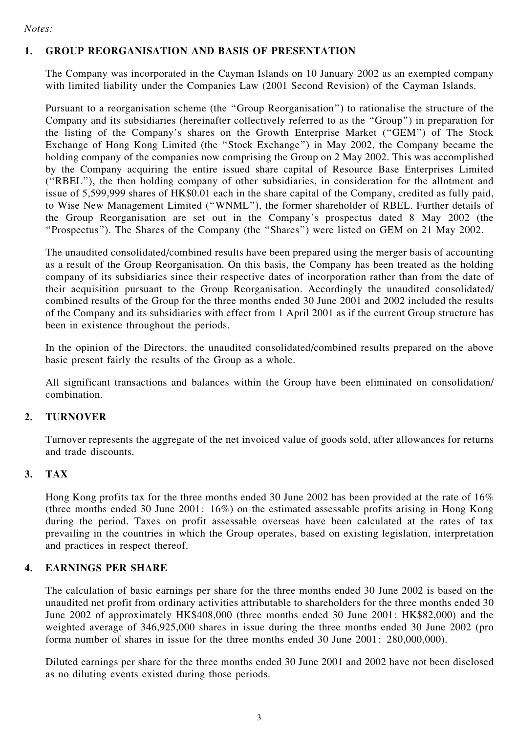#### 1. GROUP REORGANISATION AND BASIS OF PRESENTATION

The Company was incorporated in the Cayman Islands on 10 January 2002 as an exempted company with limited liability under the Companies Law (2001 Second Revision) of the Cayman Islands.

Pursuant to a reorganisation scheme (the ''Group Reorganisation'') to rationalise the structure of the Company and its subsidiaries (hereinafter collectively referred to as the ''Group'') in preparation for the listing of the Company's shares on the Growth Enterprise Market (''GEM'') of The Stock Exchange of Hong Kong Limited (the ''Stock Exchange'') in May 2002, the Company became the holding company of the companies now comprising the Group on 2 May 2002. This was accomplished by the Company acquiring the entire issued share capital of Resource Base Enterprises Limited (''RBEL''), the then holding company of other subsidiaries, in consideration for the allotment and issue of 5,599,999 shares of HK\$0.01 each in the share capital of the Company, credited as fully paid, to Wise New Management Limited (''WNML''), the former shareholder of RBEL. Further details of the Group Reorganisation are set out in the Company's prospectus dated 8 May 2002 (the ''Prospectus''). The Shares of the Company (the ''Shares'') were listed on GEM on 21 May 2002.

The unaudited consolidated/combined results have been prepared using the merger basis of accounting as a result of the Group Reorganisation. On this basis, the Company has been treated as the holding company of its subsidiaries since their respective dates of incorporation rather than from the date of their acquisition pursuant to the Group Reorganisation. Accordingly the unaudited consolidated/ combined results of the Group for the three months ended 30 June 2001 and 2002 included the results of the Company and its subsidiaries with effect from 1 April 2001 as if the current Group structure has been in existence throughout the periods.

In the opinion of the Directors, the unaudited consolidated/combined results prepared on the above basic present fairly the results of the Group as a whole.

All significant transactions and balances within the Group have been eliminated on consolidation/ combination.

#### 2. TURNOVER

Turnover represents the aggregate of the net invoiced value of goods sold, after allowances for returns and trade discounts.

#### 3. TAX

Hong Kong profits tax for the three months ended 30 June 2002 has been provided at the rate of 16% (three months ended 30 June 2001: 16%) on the estimated assessable profits arising in Hong Kong during the period. Taxes on profit assessable overseas have been calculated at the rates of tax prevailing in the countries in which the Group operates, based on existing legislation, interpretation and practices in respect thereof.

#### 4. EARNINGS PER SHARE

The calculation of basic earnings per share for the three months ended 30 June 2002 is based on the unaudited net profit from ordinary activities attributable to shareholders for the three months ended 30 June 2002 of approximately HK\$408,000 (three months ended 30 June 2001: HK\$82,000) and the weighted average of 346,925,000 shares in issue during the three months ended 30 June 2002 (pro forma number of shares in issue for the three months ended 30 June 2001: 280,000,000).

Diluted earnings per share for the three months ended 30 June 2001 and 2002 have not been disclosed as no diluting events existed during those periods.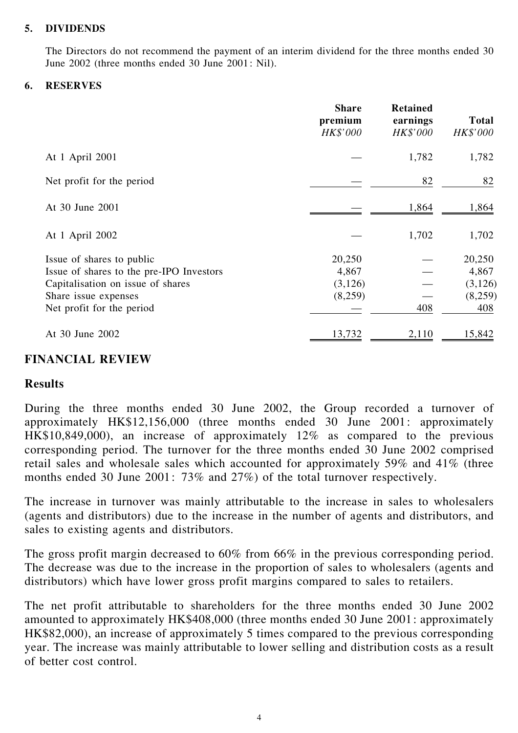#### 5. DIVIDENDS

The Directors do not recommend the payment of an interim dividend for the three months ended 30 June 2002 (three months ended 30 June 2001: Nil).

#### 6. RESERVES

| <b>Share</b><br>premium<br>HK\$'000                                                                                                                             |                                       | <b>Retained</b><br>earnings<br>HK\$'000 | <b>Total</b><br>HK\$'000                     |
|-----------------------------------------------------------------------------------------------------------------------------------------------------------------|---------------------------------------|-----------------------------------------|----------------------------------------------|
| At 1 April 2001                                                                                                                                                 |                                       | 1,782                                   | 1,782                                        |
| Net profit for the period                                                                                                                                       |                                       | 82                                      | 82                                           |
| At 30 June 2001                                                                                                                                                 |                                       | 1,864                                   | 1,864                                        |
| At 1 April 2002                                                                                                                                                 |                                       | 1,702                                   | 1,702                                        |
| Issue of shares to public<br>Issue of shares to the pre-IPO Investors<br>Capitalisation on issue of shares<br>Share issue expenses<br>Net profit for the period | 20,250<br>4,867<br>(3,126)<br>(8,259) | 408                                     | 20,250<br>4,867<br>(3,126)<br>(8,259)<br>408 |
| At 30 June 2002                                                                                                                                                 | 13,732                                | 2,110                                   | 15,842                                       |

# FINANCIAL REVIEW

### Results

During the three months ended 30 June 2002, the Group recorded a turnover of approximately HK\$12,156,000 (three months ended 30 June 2001: approximately HK\$10,849,000), an increase of approximately 12% as compared to the previous corresponding period. The turnover for the three months ended 30 June 2002 comprised retail sales and wholesale sales which accounted for approximately 59% and 41% (three months ended 30 June 2001: 73% and 27%) of the total turnover respectively.

The increase in turnover was mainly attributable to the increase in sales to wholesalers (agents and distributors) due to the increase in the number of agents and distributors, and sales to existing agents and distributors.

The gross profit margin decreased to 60% from 66% in the previous corresponding period. The decrease was due to the increase in the proportion of sales to wholesalers (agents and distributors) which have lower gross profit margins compared to sales to retailers.

The net profit attributable to shareholders for the three months ended 30 June 2002 amounted to approximately HK\$408,000 (three months ended 30 June 2001: approximately HK\$82,000), an increase of approximately 5 times compared to the previous corresponding year. The increase was mainly attributable to lower selling and distribution costs as a result of better cost control.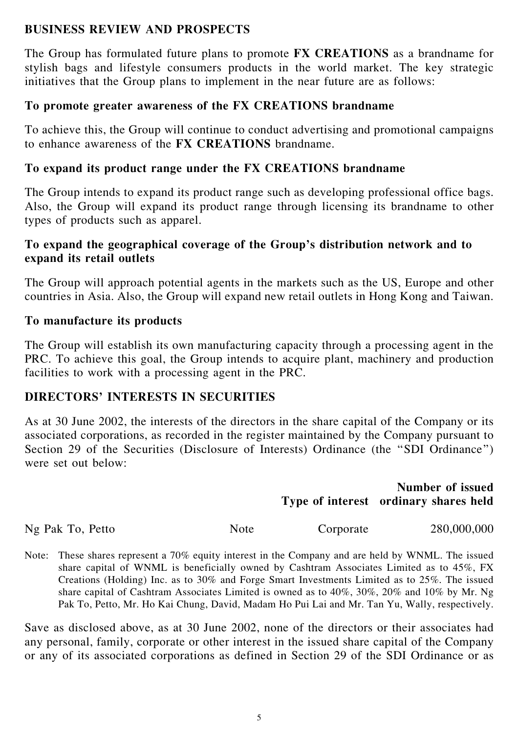### BUSINESS REVIEW AND PROSPECTS

The Group has formulated future plans to promote FX CREATIONS as a brandname for stylish bags and lifestyle consumers products in the world market. The key strategic initiatives that the Group plans to implement in the near future are as follows:

### To promote greater awareness of the FX CREATIONS brandname

To achieve this, the Group will continue to conduct advertising and promotional campaigns to enhance awareness of the FX CREATIONS brandname.

### To expand its product range under the FX CREATIONS brandname

The Group intends to expand its product range such as developing professional office bags. Also, the Group will expand its product range through licensing its brandname to other types of products such as apparel.

### To expand the geographical coverage of the Group's distribution network and to expand its retail outlets

The Group will approach potential agents in the markets such as the US, Europe and other countries in Asia. Also, the Group will expand new retail outlets in Hong Kong and Taiwan.

### To manufacture its products

The Group will establish its own manufacturing capacity through a processing agent in the PRC. To achieve this goal, the Group intends to acquire plant, machinery and production facilities to work with a processing agent in the PRC.

# DIRECTORS' INTERESTS IN SECURITIES

As at 30 June 2002, the interests of the directors in the share capital of the Company or its associated corporations, as recorded in the register maintained by the Company pursuant to Section 29 of the Securities (Disclosure of Interests) Ordinance (the "SDI Ordinance") were set out below:

# Type of interest ordinary shares held Number of issued

Ng Pak To, Petto Note Corporate 280,000,000

Note: These shares represent a 70% equity interest in the Company and are held by WNML. The issued share capital of WNML is beneficially owned by Cashtram Associates Limited as to 45%, FX Creations (Holding) Inc. as to 30% and Forge Smart Investments Limited as to 25%. The issued share capital of Cashtram Associates Limited is owned as to 40%, 30%, 20% and 10% by Mr. Ng Pak To, Petto, Mr. Ho Kai Chung, David, Madam Ho Pui Lai and Mr. Tan Yu, Wally, respectively.

Save as disclosed above, as at 30 June 2002, none of the directors or their associates had any personal, family, corporate or other interest in the issued share capital of the Company or any of its associated corporations as defined in Section 29 of the SDI Ordinance or as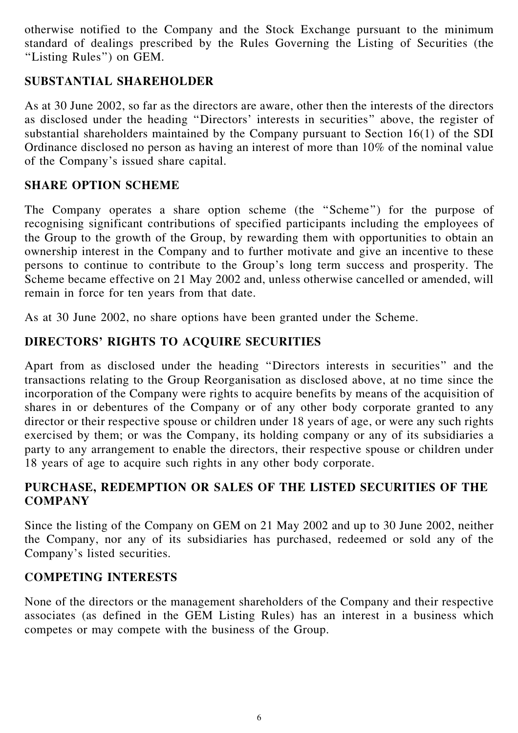otherwise notified to the Company and the Stock Exchange pursuant to the minimum standard of dealings prescribed by the Rules Governing the Listing of Securities (the ''Listing Rules'') on GEM.

# SUBSTANTIAL SHAREHOLDER

As at 30 June 2002, so far as the directors are aware, other then the interests of the directors as disclosed under the heading ''Directors' interests in securities'' above, the register of substantial shareholders maintained by the Company pursuant to Section 16(1) of the SDI Ordinance disclosed no person as having an interest of more than 10% of the nominal value of the Company's issued share capital.

# SHARE OPTION SCHEME

The Company operates a share option scheme (the ''Scheme'') for the purpose of recognising significant contributions of specified participants including the employees of the Group to the growth of the Group, by rewarding them with opportunities to obtain an ownership interest in the Company and to further motivate and give an incentive to these persons to continue to contribute to the Group's long term success and prosperity. The Scheme became effective on 21 May 2002 and, unless otherwise cancelled or amended, will remain in force for ten years from that date.

As at 30 June 2002, no share options have been granted under the Scheme.

# DIRECTORS' RIGHTS TO ACQUIRE SECURITIES

Apart from as disclosed under the heading ''Directors interests in securities'' and the transactions relating to the Group Reorganisation as disclosed above, at no time since the incorporation of the Company were rights to acquire benefits by means of the acquisition of shares in or debentures of the Company or of any other body corporate granted to any director or their respective spouse or children under 18 years of age, or were any such rights exercised by them; or was the Company, its holding company or any of its subsidiaries a party to any arrangement to enable the directors, their respective spouse or children under 18 years of age to acquire such rights in any other body corporate.

# PURCHASE, REDEMPTION OR SALES OF THE LISTED SECURITIES OF THE **COMPANY**

Since the listing of the Company on GEM on 21 May 2002 and up to 30 June 2002, neither the Company, nor any of its subsidiaries has purchased, redeemed or sold any of the Company's listed securities.

# COMPETING INTERESTS

None of the directors or the management shareholders of the Company and their respective associates (as defined in the GEM Listing Rules) has an interest in a business which competes or may compete with the business of the Group.